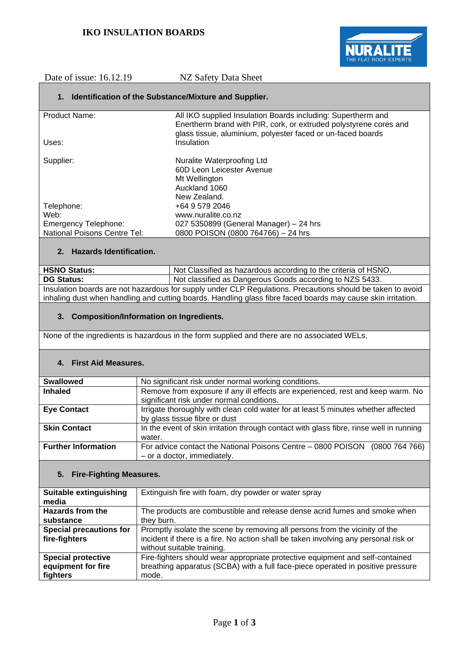

Date of issue: 16.12.19 NZ Safety Data Sheet

## **1. Identification of the Substance/Mixture and Supplier.**

| Product Name:                       | All IKO supplied Insulation Boards including: Supertherm and<br>Enertherm brand with PIR, cork, or extruded polystyrene cores and<br>glass tissue, aluminium, polyester faced or un-faced boards |
|-------------------------------------|--------------------------------------------------------------------------------------------------------------------------------------------------------------------------------------------------|
| Uses:                               | Insulation                                                                                                                                                                                       |
|                                     |                                                                                                                                                                                                  |
| Supplier:                           | Nuralite Waterproofing Ltd                                                                                                                                                                       |
|                                     | 60D Leon Leicester Avenue                                                                                                                                                                        |
|                                     | Mt Wellington                                                                                                                                                                                    |
|                                     | Auckland 1060                                                                                                                                                                                    |
|                                     | New Zealand.                                                                                                                                                                                     |
| Telephone:                          | +64 9 579 2046                                                                                                                                                                                   |
| Web:                                | www.nuralite.co.nz                                                                                                                                                                               |
| <b>Emergency Telephone:</b>         | 027 5350899 (General Manager) - 24 hrs                                                                                                                                                           |
| <b>National Poisons Centre Tel:</b> | 0800 POISON (0800 764766) - 24 hrs                                                                                                                                                               |
|                                     |                                                                                                                                                                                                  |

# **2. Hazards Identification.**

| <b>HSNO Status:</b>                                                                                          | Not Classified as hazardous according to the criteria of HSNO. |
|--------------------------------------------------------------------------------------------------------------|----------------------------------------------------------------|
| <b>DG Status:</b>                                                                                            | Not classified as Dangerous Goods according to NZS 5433.       |
| Insulation boards are not hazardous for supply under CLP Regulations. Precautions should be taken to avoid   |                                                                |
| inhaling dust when handling and cutting boards. Handling glass fibre faced boards may cause skin irritation. |                                                                |

## **3. Composition/Information on Ingredients.**

None of the ingredients is hazardous in the form supplied and there are no associated WELs.

## **4. First Aid Measures.**

| <b>Swallowed</b>           | No significant risk under normal working conditions.                                    |
|----------------------------|-----------------------------------------------------------------------------------------|
| <b>Inhaled</b>             | Remove from exposure if any ill effects are experienced, rest and keep warm. No         |
|                            | significant risk under normal conditions.                                               |
| <b>Eye Contact</b>         | Irrigate thoroughly with clean cold water for at least 5 minutes whether affected       |
|                            | by glass tissue fibre or dust                                                           |
| <b>Skin Contact</b>        | In the event of skin irritation through contact with glass fibre, rinse well in running |
|                            | water.                                                                                  |
| <b>Further Information</b> | For advice contact the National Poisons Centre - 0800 POISON<br>(0800764766)            |
|                            | - or a doctor, immediately.                                                             |

## **5. Fire-Fighting Measures.**

| <b>Suitable extinguishing</b>  | Extinguish fire with foam, dry powder or water spray                                 |
|--------------------------------|--------------------------------------------------------------------------------------|
| media                          |                                                                                      |
| <b>Hazards from the</b>        | The products are combustible and release dense acrid fumes and smoke when            |
| substance                      | they burn.                                                                           |
| <b>Special precautions for</b> | Promptly isolate the scene by removing all persons from the vicinity of the          |
| fire-fighters                  | incident if there is a fire. No action shall be taken involving any personal risk or |
|                                | without suitable training.                                                           |
| <b>Special protective</b>      | Fire-fighters should wear appropriate protective equipment and self-contained        |
| equipment for fire             | breathing apparatus (SCBA) with a full face-piece operated in positive pressure      |
| fighters                       | mode.                                                                                |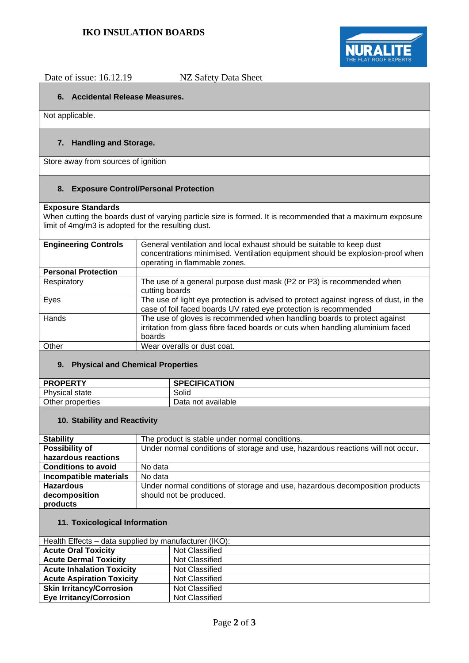

Date of issue: 16.12.19 NZ Safety Data Sheet

# **6. Accidental Release Measures.**

Not applicable.

# **7. Handling and Storage.**

Store away from sources of ignition

## **8. Exposure Control/Personal Protection**

### **Exposure Standards**

When cutting the boards dust of varying particle size is formed. It is recommended that a maximum exposure limit of 4mg/m3 is adopted for the resulting dust.

| <b>Engineering Controls</b> | General ventilation and local exhaust should be suitable to keep dust<br>concentrations minimised. Ventilation equipment should be explosion-proof when<br>operating in flammable zones. |
|-----------------------------|------------------------------------------------------------------------------------------------------------------------------------------------------------------------------------------|
| <b>Personal Protection</b>  |                                                                                                                                                                                          |
| Respiratory                 | The use of a general purpose dust mask (P2 or P3) is recommended when<br>cutting boards                                                                                                  |
| Eyes                        | The use of light eye protection is advised to protect against ingress of dust, in the<br>case of foil faced boards UV rated eye protection is recommended                                |
| Hands                       | The use of gloves is recommended when handling boards to protect against<br>irritation from glass fibre faced boards or cuts when handling aluminium faced<br>boards                     |
| Other                       | Wear overalls or dust coat.                                                                                                                                                              |
|                             |                                                                                                                                                                                          |

## **9. Physical and Chemical Properties**

| <b>PROPERTY</b>       | <b>SPECIFICATION</b> |
|-----------------------|----------------------|
| <b>Physical state</b> | Solid                |
| Other properties      | Data not available   |

## **10. Stability and Reactivity**

| <b>Stability</b>           | The product is stable under normal conditions.                                  |
|----------------------------|---------------------------------------------------------------------------------|
| Possibility of             | Under normal conditions of storage and use, hazardous reactions will not occur. |
| hazardous reactions        |                                                                                 |
| <b>Conditions to avoid</b> | No data                                                                         |
| Incompatible materials     | No data                                                                         |
| <b>Hazardous</b>           | Under normal conditions of storage and use, hazardous decomposition products    |
| decomposition              | should not be produced.                                                         |
| products                   |                                                                                 |
|                            |                                                                                 |

# **11. Toxicological Information**

| Health Effects – data supplied by manufacturer (IKO): |                |
|-------------------------------------------------------|----------------|
| <b>Acute Oral Toxicity</b>                            | Not Classified |
| <b>Acute Dermal Toxicity</b>                          | Not Classified |
| <b>Acute Inhalation Toxicity</b>                      | Not Classified |
| <b>Acute Aspiration Toxicity</b>                      | Not Classified |
| <b>Skin Irritancy/Corrosion</b>                       | Not Classified |
| <b>Eye Irritancy/Corrosion</b>                        | Not Classified |